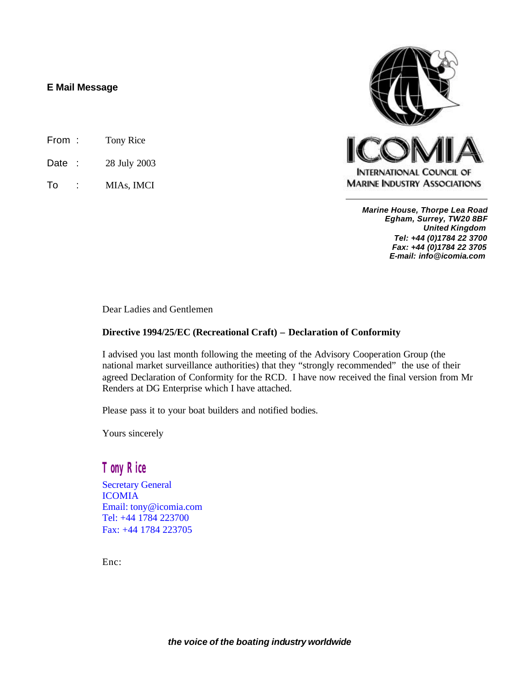# **E Mail Message**

- From : Tony Rice
- Date : 28 July 2003
- To : MIAs, IMCI



*Marine House, Thorpe Lea Road Egham, Surrey, TW20 8BF United Kingdom Tel: +44 (0)1784 22 3700 Fax: +44 (0)1784 22 3705 E-mail: info@icomia.com*

Dear Ladies and Gentlemen

# **Directive 1994/25/EC (Recreational Craft) – Declaration of Conformity**

I advised you last month following the meeting of the Advisory Cooperation Group (the national market surveillance authorities) that they "strongly recommended" the use of their agreed Declaration of Conformity for the RCD. I have now received the final version from Mr Renders at DG Enterprise which I have attached.

Please pass it to your boat builders and notified bodies.

Yours sincerely

# *Tony Rice*

Secretary General ICOMIA Email: tony@icomia.com Tel: +44 1784 223700 Fax: +44 1784 223705

Enc: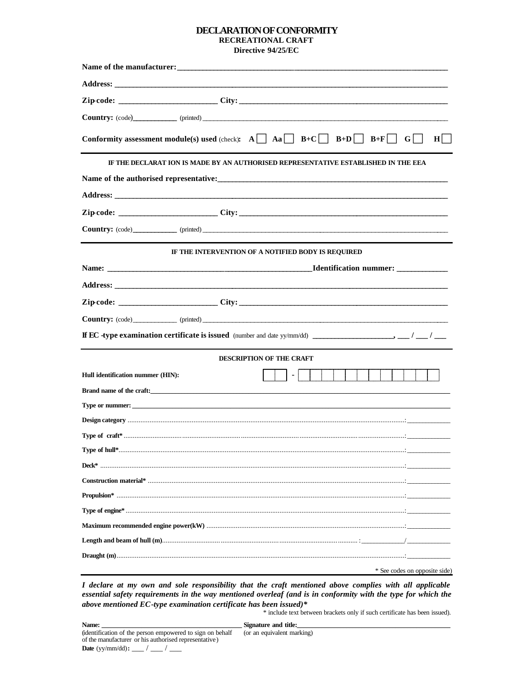## DECLARATION OF CONFORMITY RECREATIONAL CRAFT Directive 94/25/EC

|                                                                                                                                                                                                                                | <b>Country:</b> (code) (printed) (printed)                                                               |  |  |  |  |  |
|--------------------------------------------------------------------------------------------------------------------------------------------------------------------------------------------------------------------------------|----------------------------------------------------------------------------------------------------------|--|--|--|--|--|
|                                                                                                                                                                                                                                | <b>Conformity assessment module(s) used (check):</b> $A \cap A \cap B+C \cap B+D \cap B+F$<br>$H$  <br>G |  |  |  |  |  |
|                                                                                                                                                                                                                                | IF THE DECLARAT ION IS MADE BY AN AUTHORISED REPRESENTATIVE ESTABLISHED IN THE EEA                       |  |  |  |  |  |
|                                                                                                                                                                                                                                |                                                                                                          |  |  |  |  |  |
|                                                                                                                                                                                                                                |                                                                                                          |  |  |  |  |  |
|                                                                                                                                                                                                                                |                                                                                                          |  |  |  |  |  |
|                                                                                                                                                                                                                                | <b>Country:</b> (code) (printed) (printed)                                                               |  |  |  |  |  |
|                                                                                                                                                                                                                                | IF THE INTERVENTION OF A NOTIFIED BODY IS REQUIRED                                                       |  |  |  |  |  |
|                                                                                                                                                                                                                                | <b>Identification nummer:</b> ____________                                                               |  |  |  |  |  |
| Address: the contract of the contract of the contract of the contract of the contract of the contract of the contract of the contract of the contract of the contract of the contract of the contract of the contract of the c |                                                                                                          |  |  |  |  |  |
|                                                                                                                                                                                                                                |                                                                                                          |  |  |  |  |  |
|                                                                                                                                                                                                                                | Country: (code) (printed) (printed)                                                                      |  |  |  |  |  |
|                                                                                                                                                                                                                                |                                                                                                          |  |  |  |  |  |
| <b>DESCRIPTION OF THE CRAFT</b>                                                                                                                                                                                                |                                                                                                          |  |  |  |  |  |
| Hull identification nummer (HIN):                                                                                                                                                                                              |                                                                                                          |  |  |  |  |  |
|                                                                                                                                                                                                                                | Brand name of the craft:                                                                                 |  |  |  |  |  |
|                                                                                                                                                                                                                                |                                                                                                          |  |  |  |  |  |
|                                                                                                                                                                                                                                |                                                                                                          |  |  |  |  |  |
|                                                                                                                                                                                                                                |                                                                                                          |  |  |  |  |  |
| Type of hull*                                                                                                                                                                                                                  |                                                                                                          |  |  |  |  |  |
|                                                                                                                                                                                                                                |                                                                                                          |  |  |  |  |  |
|                                                                                                                                                                                                                                |                                                                                                          |  |  |  |  |  |
|                                                                                                                                                                                                                                |                                                                                                          |  |  |  |  |  |
|                                                                                                                                                                                                                                |                                                                                                          |  |  |  |  |  |
|                                                                                                                                                                                                                                |                                                                                                          |  |  |  |  |  |
|                                                                                                                                                                                                                                |                                                                                                          |  |  |  |  |  |
|                                                                                                                                                                                                                                |                                                                                                          |  |  |  |  |  |
|                                                                                                                                                                                                                                | * See codes on opposite side)                                                                            |  |  |  |  |  |

I declare at my own and sole responsibility that the craft mentioned above complies with all applicable essential safety requirements in the way mentioned overleaf (and is in conformity with the type for which the above mentioned EC-type examination certificate has been issued)\*

\* include text between brackets only if such certificate has been issued).